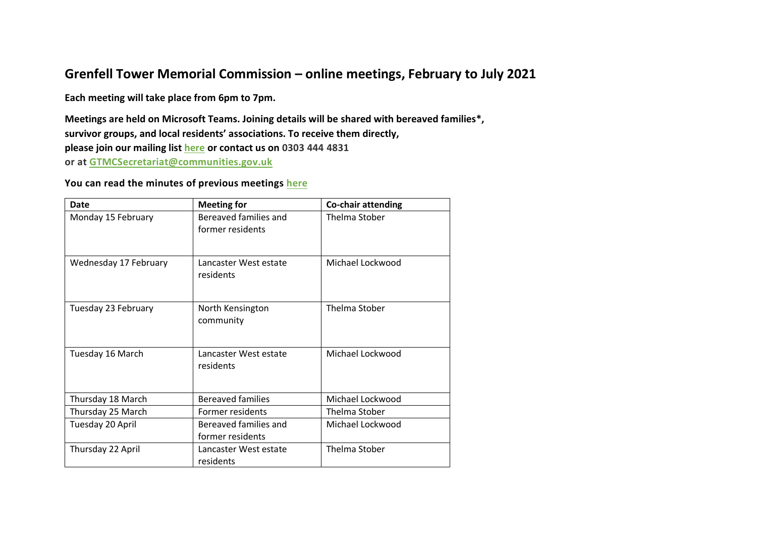## **Grenfell Tower Memorial Commission – online meetings, February to July 2021**

**Each meeting will take place from 6pm to 7pm.**

**Meetings are held on Microsoft Teams. Joining details will be shared with bereaved families\*, survivor groups, and local residents' associations. To receive them directly, please join our mailing list [here](https://www.grenfelltowermemorial.co.uk/contact) or contact us on 0303 444 4831 or at [GTMCSecretariat@communities.gov.uk](mailto:GTMCSecretariat@communities.gov.uk)**

## **You can read the minutes of previous meetings [here](https://www.grenfelltowermemorial.co.uk/news/meeting-minutes)**

| Date                  | <b>Meeting for</b>                        | <b>Co-chair attending</b> |
|-----------------------|-------------------------------------------|---------------------------|
| Monday 15 February    | Bereaved families and<br>former residents | Thelma Stober             |
| Wednesday 17 February | Lancaster West estate<br>residents        | Michael Lockwood          |
| Tuesday 23 February   | North Kensington<br>community             | <b>Thelma Stober</b>      |
| Tuesday 16 March      | Lancaster West estate<br>residents        | Michael Lockwood          |
| Thursday 18 March     | <b>Bereaved families</b>                  | Michael Lockwood          |
| Thursday 25 March     | Former residents                          | <b>Thelma Stober</b>      |
| Tuesday 20 April      | Bereaved families and<br>former residents | Michael Lockwood          |
| Thursday 22 April     | Lancaster West estate<br>residents        | Thelma Stober             |